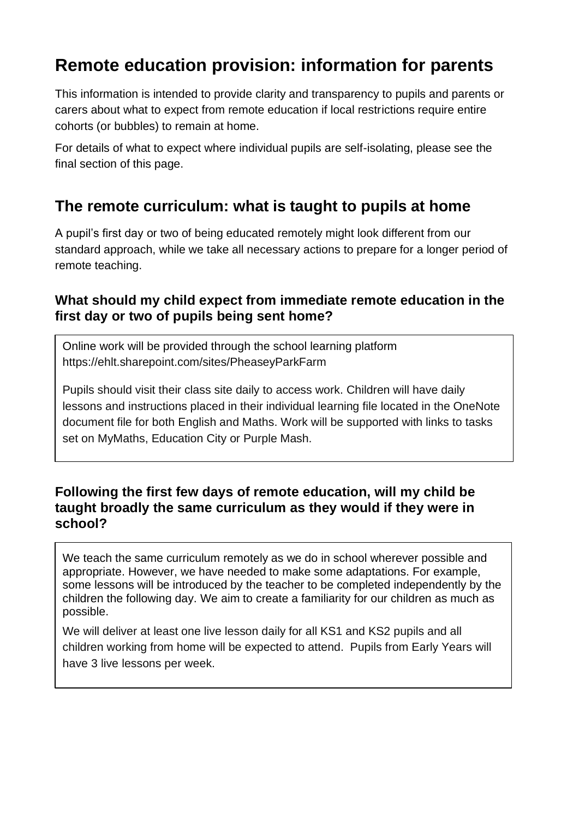# **Remote education provision: information for parents**

This information is intended to provide clarity and transparency to pupils and parents or carers about what to expect from remote education if local restrictions require entire cohorts (or bubbles) to remain at home.

For details of what to expect where individual pupils are self-isolating, please see the final section of this page.

## **The remote curriculum: what is taught to pupils at home**

A pupil's first day or two of being educated remotely might look different from our standard approach, while we take all necessary actions to prepare for a longer period of remote teaching.

### **What should my child expect from immediate remote education in the first day or two of pupils being sent home?**

Online work will be provided through the school learning platform <https://ehlt.sharepoint.com/sites/PheaseyParkFarm>

Pupils should visit their class site daily to access work. Children will have daily lessons and instructions placed in their individual learning file located in the OneNote document file for both English and Maths. Work will be supported with links to tasks set on MyMaths, Education City or Purple Mash.

### **Following the first few days of remote education, will my child be taught broadly the same curriculum as they would if they were in school?**

We teach the same curriculum remotely as we do in school wherever possible and appropriate. However, we have needed to make some adaptations. For example, some lessons will be introduced by the teacher to be completed independently by the children the following day. We aim to create a familiarity for our children as much as possible.

We will deliver at least one live lesson daily for all KS1 and KS2 pupils and all children working from home will be expected to attend. Pupils from Early Years will have 3 live lessons per week.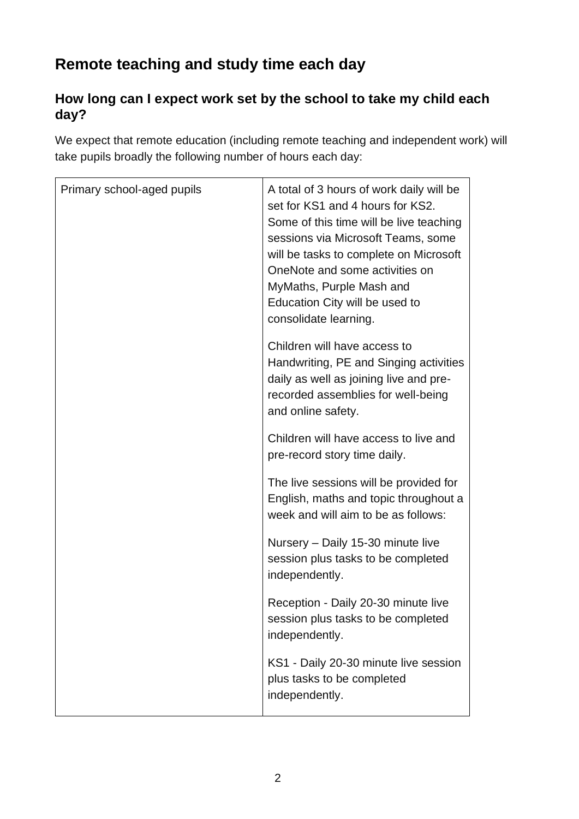# **Remote teaching and study time each day**

## **How long can I expect work set by the school to take my child each day?**

We expect that remote education (including remote teaching and independent work) will take pupils broadly the following number of hours each day:

| Primary school-aged pupils | A total of 3 hours of work daily will be<br>set for KS1 and 4 hours for KS2.<br>Some of this time will be live teaching<br>sessions via Microsoft Teams, some<br>will be tasks to complete on Microsoft<br>OneNote and some activities on<br>MyMaths, Purple Mash and<br>Education City will be used to<br>consolidate learning. |
|----------------------------|----------------------------------------------------------------------------------------------------------------------------------------------------------------------------------------------------------------------------------------------------------------------------------------------------------------------------------|
|                            | Children will have access to<br>Handwriting, PE and Singing activities<br>daily as well as joining live and pre-<br>recorded assemblies for well-being<br>and online safety.                                                                                                                                                     |
|                            | Children will have access to live and<br>pre-record story time daily.                                                                                                                                                                                                                                                            |
|                            | The live sessions will be provided for<br>English, maths and topic throughout a<br>week and will aim to be as follows:                                                                                                                                                                                                           |
|                            | Nursery - Daily 15-30 minute live<br>session plus tasks to be completed<br>independently.                                                                                                                                                                                                                                        |
|                            | Reception - Daily 20-30 minute live<br>session plus tasks to be completed<br>independently.                                                                                                                                                                                                                                      |
|                            | KS1 - Daily 20-30 minute live session<br>plus tasks to be completed<br>independently.                                                                                                                                                                                                                                            |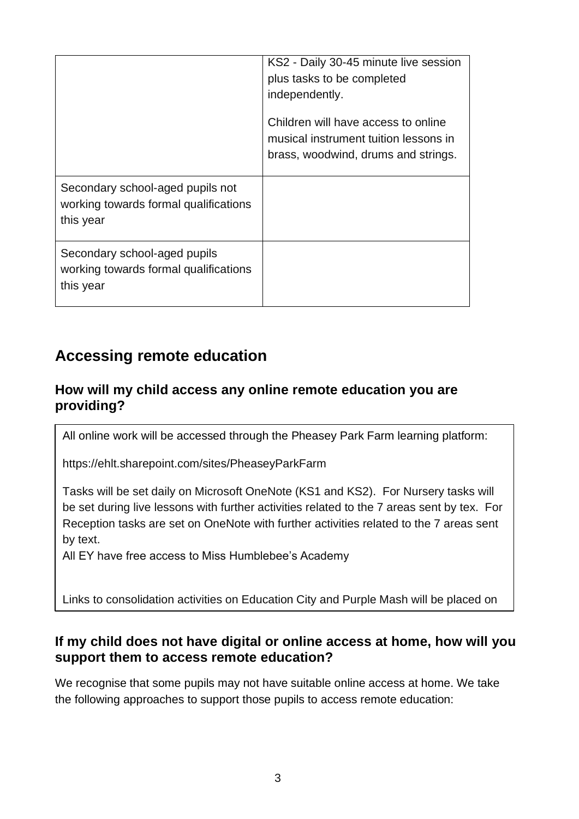|                                                                                        | KS2 - Daily 30-45 minute live session<br>plus tasks to be completed<br>independently.                               |
|----------------------------------------------------------------------------------------|---------------------------------------------------------------------------------------------------------------------|
|                                                                                        | Children will have access to online<br>musical instrument tuition lessons in<br>brass, woodwind, drums and strings. |
| Secondary school-aged pupils not<br>working towards formal qualifications<br>this year |                                                                                                                     |
| Secondary school-aged pupils<br>working towards formal qualifications<br>this year     |                                                                                                                     |

## **Accessing remote education**

### **How will my child access any online remote education you are providing?**

All online work will be accessed through the Pheasey Park Farm learning platform:

<https://ehlt.sharepoint.com/sites/PheaseyParkFarm>

Tasks will be set daily on Microsoft OneNote (KS1 and KS2). For Nursery tasks will be set during live lessons with further activities related to the 7 areas sent by tex. For Reception tasks are set on OneNote with further activities related to the 7 areas sent by text.

All EY have free access to Miss Humblebee's Academy

Links to consolidation activities on Education City and Purple Mash will be placed on

the OneNote pages. Links to other online content may also be used.

## If my child does not have digital or online access at home, how will you support them to access remote education?

We recognise that some pupils may not have suitable online access at home. We take the following approaches to support those pupils to access remote education: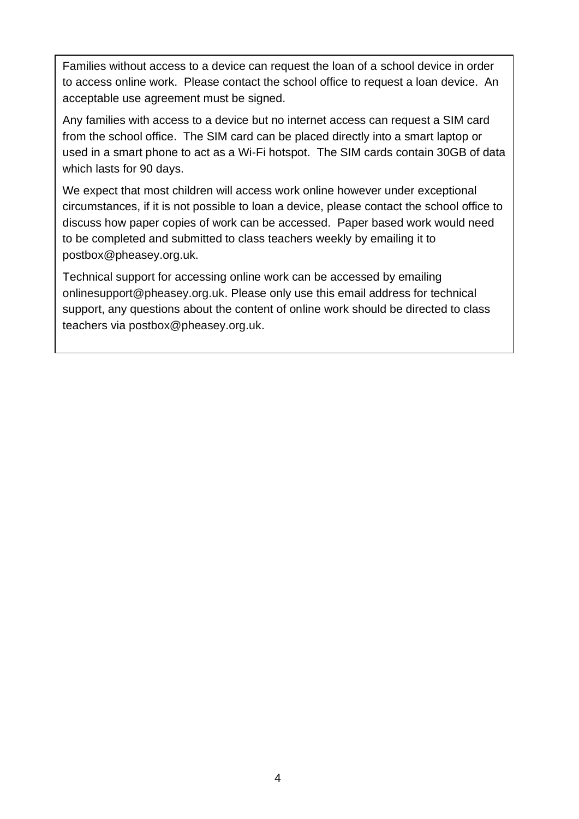Families without access to a device can request the loan of a school device in order to access online work. Please contact the school office to request a loan device. An acceptable use agreement must be signed.

Any families with access to a device but no internet access can request a SIM card from the school office. The SIM card can be placed directly into a smart laptop or used in a smart phone to act as a Wi-Fi hotspot. The SIM cards contain 30GB of data which lasts for 90 days.

We expect that most children will access work online however under exceptional circumstances, if it is not possible to loan a device, please contact the school office to discuss how paper copies of work can be accessed. Paper based work would need to be completed and submitted to class teachers weekly by emailing it to postbox@pheasey.org.uk.

Technical support for accessing online work can be accessed by emailing [onlinesupport@pheasey.org.uk.](mailto:onlinesupport@pheasey.org.uk) Please only use this email address for technical support, any questions about the content of online work should be directed to class teachers via [postbox@pheasey.org.uk.](mailto:postbox@pheasey.org.uk)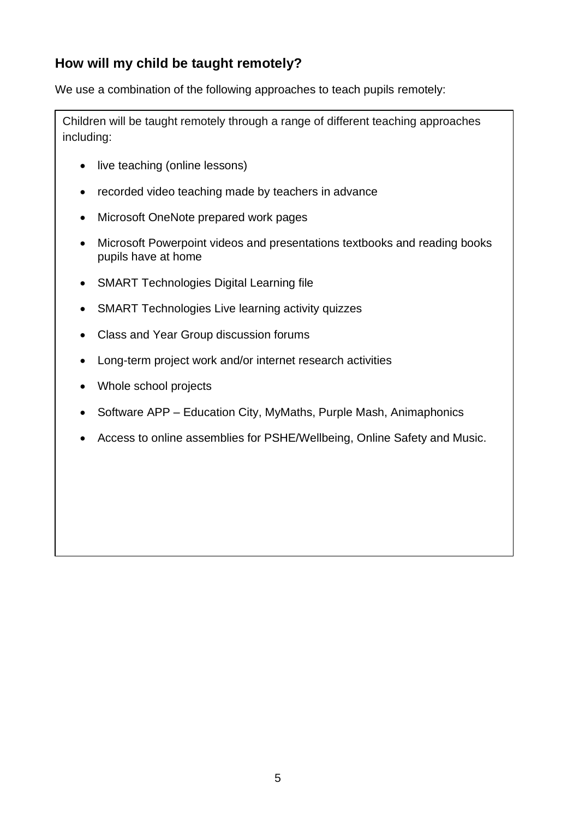## **How will my child be taught remotely?**

We use a combination of the following approaches to teach pupils remotely:

Children will be taught remotely through a range of different teaching approaches including:

- live teaching (online lessons)
- recorded video teaching made by teachers in advance
- Microsoft OneNote prepared work pages
- Microsoft Powerpoint videos and presentations textbooks and reading books pupils have at home
- SMART Technologies Digital Learning file
- SMART Technologies Live learning activity quizzes
- Class and Year Group discussion forums
- Long-term project work and/or internet research activities
- Whole school projects
- Software APP Education City, MyMaths, Purple Mash, Animaphonics
- Access to online assemblies for PSHE/Wellbeing, Online Safety and Music.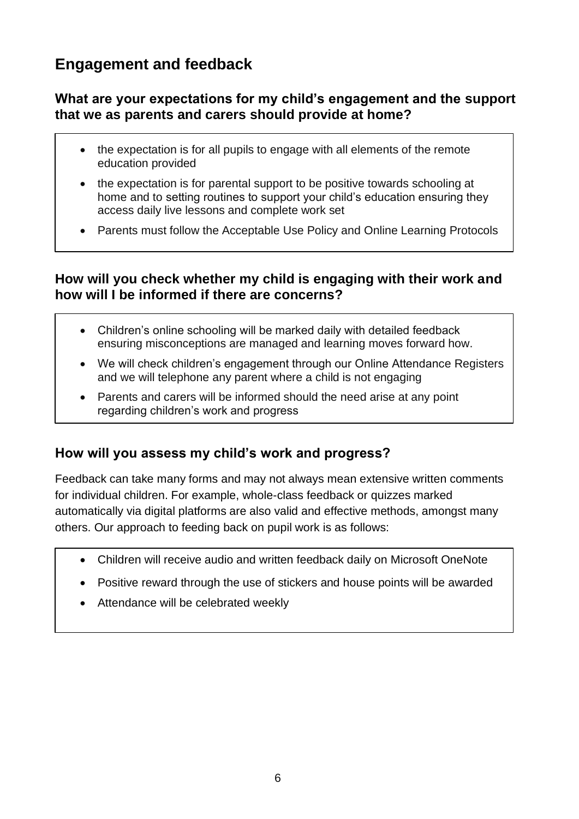## **Engagement and feedback**

#### **What are your expectations for my child's engagement and the support that we as parents and carers should provide at home?**

- the expectation is for all pupils to engage with all elements of the remote education provided
- the expectation is for parental support to be positive towards schooling at home and to setting routines to support your child's education ensuring they access daily live lessons and complete work set
- Parents must follow the Acceptable Use Policy and Online Learning Protocols

### **How will you check whether my child is engaging with their work and how will I be informed if there are concerns?**

- Children's online schooling will be marked daily with detailed feedback ensuring misconceptions are managed and learning moves forward how.
- We will check children's engagement through our Online Attendance Registers and we will telephone any parent where a child is not engaging
- Parents and carers will be informed should the need arise at any point regarding children's work and progress

## **How will you assess my child's work and progress?**

Feedback can take many forms and may not always mean extensive written comments for individual children. For example, whole-class feedback or quizzes marked automatically via digital platforms are also valid and effective methods, amongst many others. Our approach to feeding back on pupil work is as follows:

- Children will receive audio and written feedback daily on Microsoft OneNote
- Positive reward through the use of stickers and house points will be awarded
- Attendance will be celebrated weekly